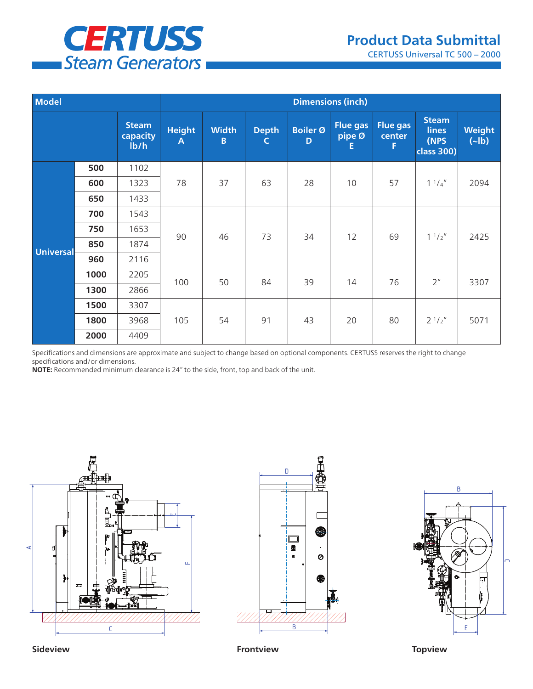

| Model            |      |                                  | <b>Dimensions (inch)</b>                 |                   |                              |                      |                                |                                |                                                           |                                          |  |
|------------------|------|----------------------------------|------------------------------------------|-------------------|------------------------------|----------------------|--------------------------------|--------------------------------|-----------------------------------------------------------|------------------------------------------|--|
|                  |      | <b>Steam</b><br>capacity<br>Ib/h | <b>Height</b><br>$\overline{\mathsf{A}}$ | <b>Width</b><br>B | <b>Depth</b><br>$\mathsf{C}$ | <b>Boiler</b> Ø<br>D | <b>Flue gas</b><br>pipe Ø<br>Е | <b>Flue gas</b><br>center<br>F | <b>Steam</b><br><b>lines</b><br>(NPS<br><b>class 300)</b> | <b>Weight</b><br>$(\text{-}\mathsf{lb})$ |  |
| <b>Universal</b> | 500  | 1102                             | 78                                       | 37                | 63                           | 28                   | 10                             | 57                             | $1^{1}/4''$                                               | 2094                                     |  |
|                  | 600  | 1323                             |                                          |                   |                              |                      |                                |                                |                                                           |                                          |  |
|                  | 650  | 1433                             |                                          |                   |                              |                      |                                |                                |                                                           |                                          |  |
|                  | 700  | 1543                             | 90                                       | 46                | 73                           | 34                   | 12                             | 69                             | $1^{1}/2''$                                               | 2425                                     |  |
|                  | 750  | 1653                             |                                          |                   |                              |                      |                                |                                |                                                           |                                          |  |
|                  | 850  | 1874                             |                                          |                   |                              |                      |                                |                                |                                                           |                                          |  |
|                  | 960  | 2116                             |                                          |                   |                              |                      |                                |                                |                                                           |                                          |  |
|                  | 1000 | 2205                             | 100                                      | 50                | 84                           | 39                   | 14                             | 76                             | 2 <sup>''</sup>                                           | 3307                                     |  |
|                  | 1300 | 2866                             |                                          |                   |                              |                      |                                |                                |                                                           |                                          |  |
|                  | 1500 | 3307                             | 105                                      | 54                | 91                           | 43                   | 20                             | 80                             | $2^{1/2}$                                                 | 5071                                     |  |
|                  | 1800 | 3968                             |                                          |                   |                              |                      |                                |                                |                                                           |                                          |  |
|                  | 2000 | 4409                             |                                          |                   |                              |                      |                                |                                |                                                           |                                          |  |

Specifications and dimensions are approximate and subject to change based on optional components. CERTUSS reserves the right to change specifications and/or dimensions.

**NOTE:** Recommended minimum clearance is 24" to the side, front, top and back of the unit.







**Sideview Frontview Topview**